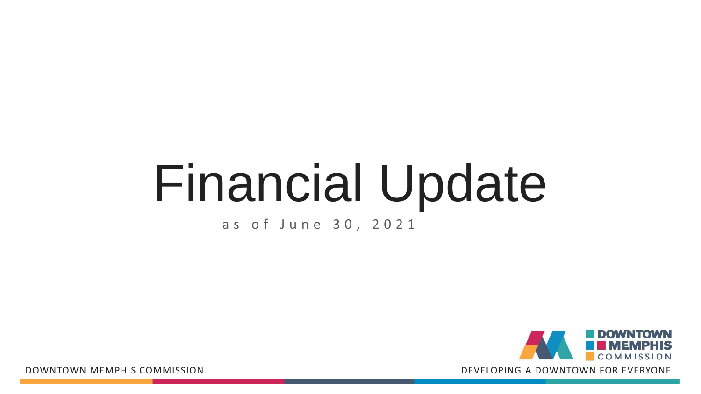# Financial Update

# as of June 3 0 , 202 1

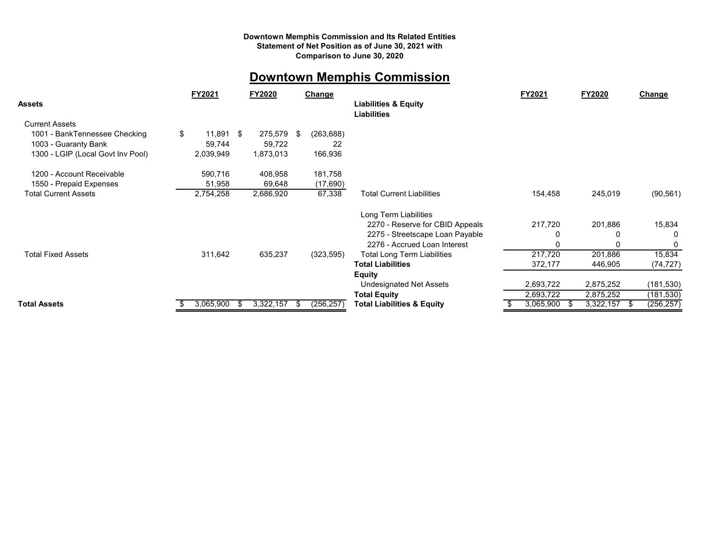#### **Downtown Memphis Commission and Its Related Entities Statement of Net Position as of June 30, 2021 with Comparison to June 30, 2020**

## **Downtown Memphis Commission**

| Liabilities                                                                                                         |                      |
|---------------------------------------------------------------------------------------------------------------------|----------------------|
| <b>Current Assets</b>                                                                                               |                      |
| \$<br>11,891<br>275,579<br>-\$<br>(263, 688)<br>1001 - BankTennessee Checking<br>S                                  |                      |
| 59,744<br>22<br>1003 - Guaranty Bank<br>59,722                                                                      |                      |
| 1300 - LGIP (Local Govt Inv Pool)<br>166,936<br>2,039,949<br>1,873,013                                              |                      |
| 590,716<br>181,758<br>1200 - Account Receivable<br>408,958                                                          |                      |
| 1550 - Prepaid Expenses<br>51,958<br>69,648<br>(17,690)                                                             |                      |
| <b>Total Current Assets</b><br>2,686,920<br>2,754,258<br>67,338<br><b>Total Current Liabilities</b><br>154,458      | 245,019<br>(90, 561) |
| Long Term Liabilities                                                                                               |                      |
| 2270 - Reserve for CBID Appeals<br>217,720                                                                          | 201,886<br>15,834    |
| 2275 - Streetscape Loan Payable                                                                                     | 0                    |
| 2276 - Accrued Loan Interest                                                                                        | 0                    |
| 217,720<br><b>Total Fixed Assets</b><br>311,642<br>635,237<br>(323, 595)<br><b>Total Long Term Liabilities</b>      | 15,834<br>201,886    |
| <b>Total Liabilities</b><br>372,177                                                                                 | 446,905<br>(74, 727) |
| <b>Equity</b>                                                                                                       |                      |
| 2,693,722<br>2,875,252<br><b>Undesignated Net Assets</b>                                                            | (181, 530)           |
| 2,693,722<br><b>Total Equity</b><br>2,875,252                                                                       | (181, 530)           |
| 3,065,900<br>3,322,157<br><b>Total Assets</b><br>(256, 257)<br>3,065,900<br>3,322,157<br>Total Liabilities & Equity | (256, 257)<br>Ъ      |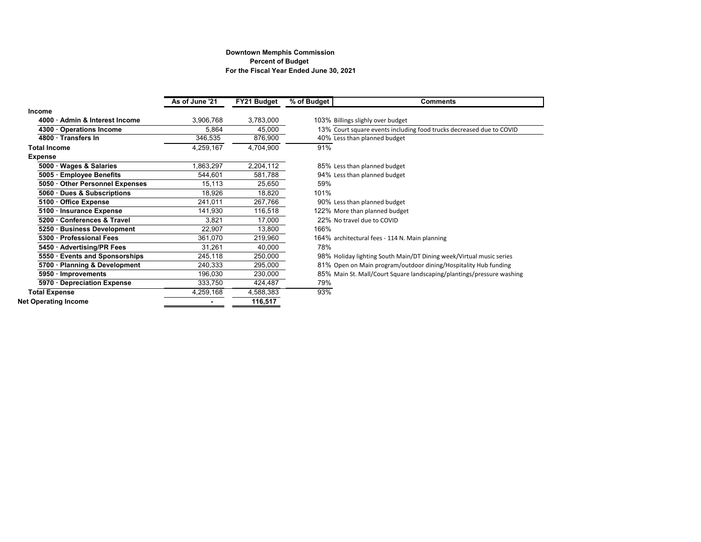#### **For the Fiscal Year Ended June 30, 2021 Downtown Memphis Commission Percent of Budget**

|                                | As of June '21 | FY21 Budget | $\sqrt{6}$ of Budget | <b>Comments</b>                                                       |
|--------------------------------|----------------|-------------|----------------------|-----------------------------------------------------------------------|
| Income                         |                |             |                      |                                                                       |
| 4000 · Admin & Interest Income | 3,906,768      | 3,783,000   |                      | 103% Billings slighly over budget                                     |
| 4300 · Operations Income       | 5,864          | 45,000      |                      | 13% Court square events including food trucks decreased due to COVID  |
| 4800 · Transfers In            | 346,535        | 876,900     |                      | 40% Less than planned budget                                          |
| <b>Total Income</b>            | 4,259,167      | 4,704,900   | 91%                  |                                                                       |
| <b>Expense</b>                 |                |             |                      |                                                                       |
| 5000 · Wages & Salaries        | 1,863,297      | 2,204,112   |                      | 85% Less than planned budget                                          |
| 5005 · Employee Benefits       | 544,601        | 581,788     |                      | 94% Less than planned budget                                          |
| 5050 Other Personnel Expenses  | 15,113         | 25,650      | 59%                  |                                                                       |
| 5060 · Dues & Subscriptions    | 18,926         | 18,820      | 101%                 |                                                                       |
| 5100 Office Expense            | 241,011        | 267,766     |                      | 90% Less than planned budget                                          |
| 5100 · Insurance Expense       | 141,930        | 116,518     |                      | 122% More than planned budget                                         |
| 5200 Conferences & Travel      | 3,821          | 17,000      |                      | 22% No travel due to COVID                                            |
| 5250 · Business Development    | 22,907         | 13,800      | 166%                 |                                                                       |
| 5300 · Professional Fees       | 361,070        | 219,960     |                      | 164% architectural fees - 114 N. Main planning                        |
| 5450 · Advertising/PR Fees     | 31,261         | 40,000      | 78%                  |                                                                       |
| 5550 · Events and Sponsorships | 245,118        | 250,000     |                      | 98% Holiday lighting South Main/DT Dining week/Virtual music series   |
| 5700 · Planning & Development  | 240,333        | 295,000     |                      | 81% Open on Main program/outdoor dining/Hospitality Hub funding       |
| 5950 · Improvements            | 196,030        | 230,000     |                      | 85% Main St. Mall/Court Square landscaping/plantings/pressure washing |
| 5970 Depreciation Expense      | 333,750        | 424,487     | 79%                  |                                                                       |
| <b>Total Expense</b>           | 4,259,168      | 4,588,383   | 93%                  |                                                                       |
| <b>Net Operating Income</b>    |                | 116,517     |                      |                                                                       |
|                                |                |             |                      |                                                                       |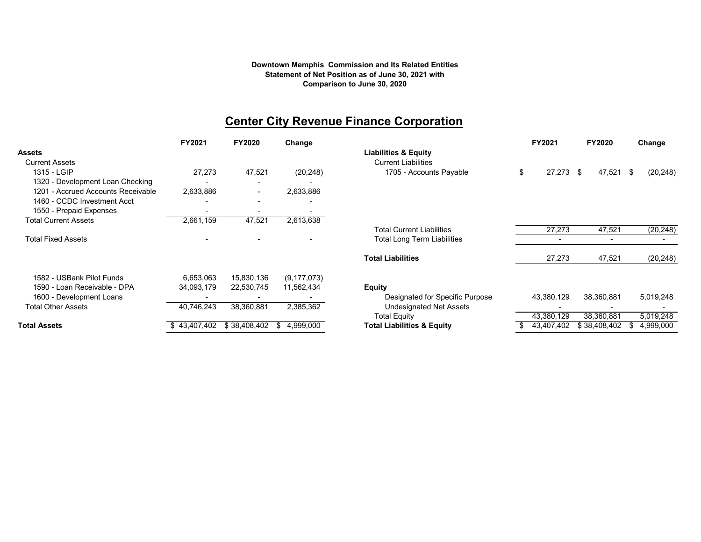#### **Comparison to June 30, 2020 Statement of Net Position as of June 30, 2021 with Downtown Memphis Commission and Its Related Entities**

## **Center City Revenue Finance Corporation**

|                                    | FY2021                      | FY2020                   | Change           |                                       | FY2021       | FY2020               | Change           |
|------------------------------------|-----------------------------|--------------------------|------------------|---------------------------------------|--------------|----------------------|------------------|
| Assets                             |                             |                          |                  | <b>Liabilities &amp; Equity</b>       |              |                      |                  |
| <b>Current Assets</b>              |                             |                          |                  | <b>Current Liabilities</b>            |              |                      |                  |
| 1315 - LGIP                        | 27,273                      | 47,521                   | (20, 248)        | 1705 - Accounts Payable               | \$<br>27,273 | 47,521<br>$^{\circ}$ | (20, 248)<br>-\$ |
| 1320 - Development Loan Checking   |                             |                          |                  |                                       |              |                      |                  |
| 1201 - Accrued Accounts Receivable | 2,633,886                   | $\overline{\phantom{a}}$ | 2,633,886        |                                       |              |                      |                  |
| 1460 - CCDC Investment Acct        |                             |                          |                  |                                       |              |                      |                  |
| 1550 - Prepaid Expenses            |                             |                          |                  |                                       |              |                      |                  |
| <b>Total Current Assets</b>        | 2,661,159                   | 47,521                   | 2,613,638        |                                       |              |                      |                  |
|                                    |                             |                          |                  | <b>Total Current Liabilities</b>      | 27,273       | $\overline{47,521}$  | (20, 248)        |
| <b>Total Fixed Assets</b>          |                             |                          |                  | Total Long Term Liabilities           |              |                      |                  |
|                                    |                             |                          |                  | <b>Total Liabilities</b>              | 27,273       | 47,521               | (20, 248)        |
| 1582 - USBank Pilot Funds          | 6,653,063                   | 15,830,136               | (9, 177, 073)    |                                       |              |                      |                  |
| 1590 - Loan Receivable - DPA       | 34,093,179                  | 22,530,745               | 11,562,434       | <b>Equity</b>                         |              |                      |                  |
| 1600 - Development Loans           |                             |                          |                  | Designated for Specific Purpose       | 43,380,129   | 38,360,881           | 5,019,248        |
| <b>Total Other Assets</b>          | 40,746,243                  | 38,360,881               | 2,385,362        | Undesignated Net Assets               |              |                      |                  |
|                                    |                             |                          |                  | <b>Total Equity</b>                   | 43,380,129   | 38,360,881           | 5,019,248        |
| Total Assets                       | $$43,407,402$ $$38,408,402$ |                          | 4,999,000<br>-SS | <b>Total Liabilities &amp; Equity</b> | 43,407,402   | \$38,408,402         | 4,999,000<br>ж.  |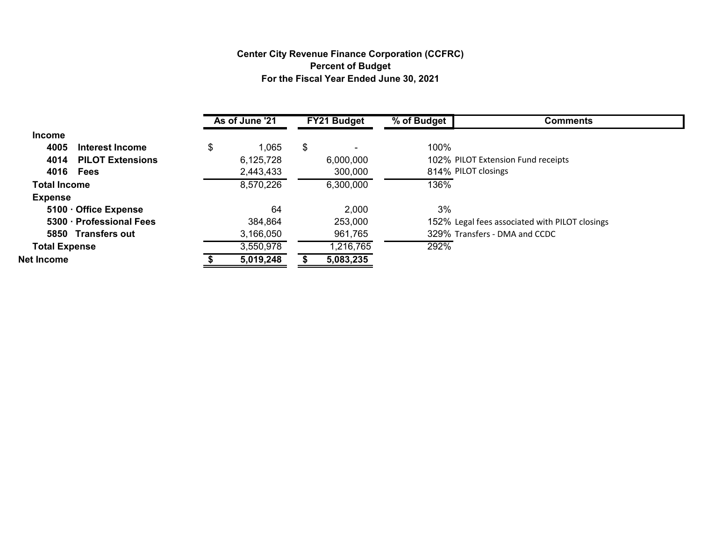### **Center City Revenue Finance Corporation (CCFRC) Percent of Budget For the Fiscal Year Ended June 30, 2021**

|                      |                         | As of June '21 | <b>FY21 Budget</b> | $\sqrt[6]{\phantom{1}}$ of Budget | <b>Comments</b>                                |
|----------------------|-------------------------|----------------|--------------------|-----------------------------------|------------------------------------------------|
| <b>Income</b>        |                         |                |                    |                                   |                                                |
| 4005                 | Interest Income         | \$<br>1,065    | \$                 | 100%                              |                                                |
| 4014                 | <b>PILOT Extensions</b> | 6,125,728      | 6,000,000          |                                   | 102% PILOT Extension Fund receipts             |
|                      | 4016 Fees               | 2,443,433      | 300,000            |                                   | 814% PILOT closings                            |
| <b>Total Income</b>  |                         | 8,570,226      | 6,300,000          | 136%                              |                                                |
| <b>Expense</b>       |                         |                |                    |                                   |                                                |
|                      | 5100 Office Expense     | 64             | 2,000              | 3%                                |                                                |
|                      | 5300 Professional Fees  | 384,864        | 253,000            |                                   | 152% Legal fees associated with PILOT closings |
|                      | 5850 Transfers out      | 3,166,050      | 961,765            |                                   | 329% Transfers - DMA and CCDC                  |
| <b>Total Expense</b> |                         | 3,550,978      | 1,216,765          | 292%                              |                                                |
| Net Income           |                         | 5,019,248      | 5,083,235          |                                   |                                                |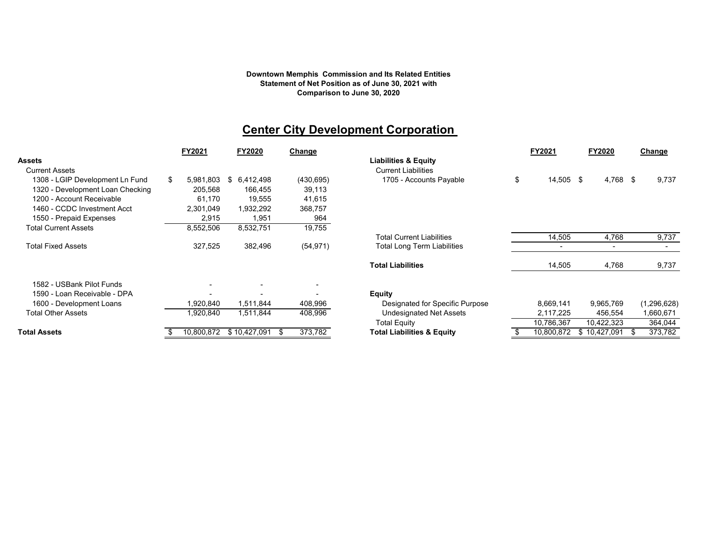#### **Downtown Memphis Commission and Its Related Entities Statement of Net Position as of June 30, 2021 with Comparison to June 30, 2020**

## **Center City Development Corporation**

|                                       | FY2021     | FY2020          | Change     |                                       |    | FY2021     | FY2020       | <b>Change</b> |
|---------------------------------------|------------|-----------------|------------|---------------------------------------|----|------------|--------------|---------------|
| <b>Assets</b>                         |            |                 |            | <b>Liabilities &amp; Equity</b>       |    |            |              |               |
| <b>Current Assets</b>                 |            |                 |            | <b>Current Liabilities</b>            |    |            |              |               |
| 1308 - LGIP Development Ln Fund<br>\$ | 5,981,803  | 6,412,498<br>\$ | (430, 695) | 1705 - Accounts Payable               | \$ | 14,505 \$  | 4,768 \$     | 9,737         |
| 1320 - Development Loan Checking      | 205,568    | 166,455         | 39,113     |                                       |    |            |              |               |
| 1200 - Account Receivable             | 61.170     | 19,555          | 41,615     |                                       |    |            |              |               |
| 1460 - CCDC Investment Acct           | 2,301,049  | 1,932,292       | 368,757    |                                       |    |            |              |               |
| 1550 - Prepaid Expenses               | 2,915      | 1,951           | 964        |                                       |    |            |              |               |
| <b>Total Current Assets</b>           | 8,552,506  | 8,532,751       | 19,755     |                                       |    |            |              |               |
|                                       |            |                 |            | <b>Total Current Liabilities</b>      |    | 14,505     | 4,768        | 9,737         |
| <b>Total Fixed Assets</b>             | 327,525    | 382,496         | (54, 971)  | <b>Total Long Term Liabilities</b>    |    |            |              |               |
|                                       |            |                 |            | <b>Total Liabilities</b>              |    | 14,505     | 4,768        | 9,737         |
| 1582 - USBank Pilot Funds             |            |                 |            |                                       |    |            |              |               |
| 1590 - Loan Receivable - DPA          |            |                 |            | <b>Equity</b>                         |    |            |              |               |
| 1600 - Development Loans              | 1,920,840  | 1,511,844       | 408,996    | Designated for Specific Purpose       |    | 8,669,141  | 9,965,769    | (1,296,628)   |
| <b>Total Other Assets</b>             | 1,920,840  | 1,511,844       | 408,996    | <b>Undesignated Net Assets</b>        |    | 2,117,225  | 456,554      | 1,660,671     |
|                                       |            |                 |            | <b>Total Equity</b>                   |    | 10,786,367 | 10,422,323   | 364,044       |
| <b>Total Assets</b>                   | 10,800,872 | \$10,427,091    | 373,782    | <b>Total Liabilities &amp; Equity</b> |    | 10,800,872 | \$10,427,091 | 373,782       |

|                                                                                                                                                                                                                                                                                                                                                           |     | FY2021     |    | <b>FY2020</b> | Change     |                                       | FY2021          | <b>FY2020</b> | Change        |
|-----------------------------------------------------------------------------------------------------------------------------------------------------------------------------------------------------------------------------------------------------------------------------------------------------------------------------------------------------------|-----|------------|----|---------------|------------|---------------------------------------|-----------------|---------------|---------------|
|                                                                                                                                                                                                                                                                                                                                                           |     |            |    |               |            | <b>Liabilities &amp; Equity</b>       |                 |               |               |
|                                                                                                                                                                                                                                                                                                                                                           |     |            |    |               |            | <b>Current Liabilities</b>            |                 |               |               |
|                                                                                                                                                                                                                                                                                                                                                           | \$. | 5,981,803  | S. | 6,412,498     | (430, 695) | 1705 - Accounts Payable               | \$<br>14,505 \$ | 4,768 \$      | 9,737         |
|                                                                                                                                                                                                                                                                                                                                                           |     | 205,568    |    | 166,455       | 39,113     |                                       |                 |               |               |
|                                                                                                                                                                                                                                                                                                                                                           |     | 61,170     |    | 19,555        | 41,615     |                                       |                 |               |               |
|                                                                                                                                                                                                                                                                                                                                                           |     | 2,301,049  |    | 1,932,292     | 368,757    |                                       |                 |               |               |
|                                                                                                                                                                                                                                                                                                                                                           |     | 2,915      |    | 1,951         | 964        |                                       |                 |               |               |
|                                                                                                                                                                                                                                                                                                                                                           |     | 8,552,506  |    | 8,532,751     | 19,755     |                                       |                 |               |               |
|                                                                                                                                                                                                                                                                                                                                                           |     |            |    |               |            | <b>Total Current Liabilities</b>      | 14,505          | 4,768         | 9,737         |
|                                                                                                                                                                                                                                                                                                                                                           |     | 327,525    |    | 382,496       | (54, 971)  | <b>Total Long Term Liabilities</b>    |                 |               |               |
| ets<br>urrent Assets<br>1308 - LGIP Development Ln Fund<br>1320 - Development Loan Checking<br>1200 - Account Receivable<br>1460 - CCDC Investment Acct<br>1550 - Prepaid Expenses<br>otal Current Assets<br>otal Fixed Assets<br>1582 - USBank Pilot Funds<br>1590 - Loan Receivable - DPA<br>1600 - Development Loans<br>ptal Other Assets<br>ıl Assets |     |            |    |               |            | <b>Total Liabilities</b>              | 14,505          | 4,768         | 9,737         |
|                                                                                                                                                                                                                                                                                                                                                           |     |            |    |               |            |                                       |                 |               |               |
|                                                                                                                                                                                                                                                                                                                                                           |     |            |    |               |            | <b>Equity</b>                         |                 |               |               |
|                                                                                                                                                                                                                                                                                                                                                           |     | ,920,840   |    | 1,511,844     | 408,996    | Designated for Specific Purpose       | 8,669,141       | 9,965,769     | (1, 296, 628) |
|                                                                                                                                                                                                                                                                                                                                                           |     | ,920,840   |    | 1,511,844     | 408,996    | <b>Undesignated Net Assets</b>        | 2,117,225       | 456,554       | 1,660,671     |
|                                                                                                                                                                                                                                                                                                                                                           |     |            |    |               |            | <b>Total Equity</b>                   | 10,786,367      | 10,422,323    | 364,044       |
|                                                                                                                                                                                                                                                                                                                                                           |     | 10,800,872 |    | \$10,427,091  | 373,782    | <b>Total Liabilities &amp; Equity</b> | 10,800,872      | \$10,427,091  | 373,782       |
|                                                                                                                                                                                                                                                                                                                                                           |     |            |    |               |            |                                       |                 |               |               |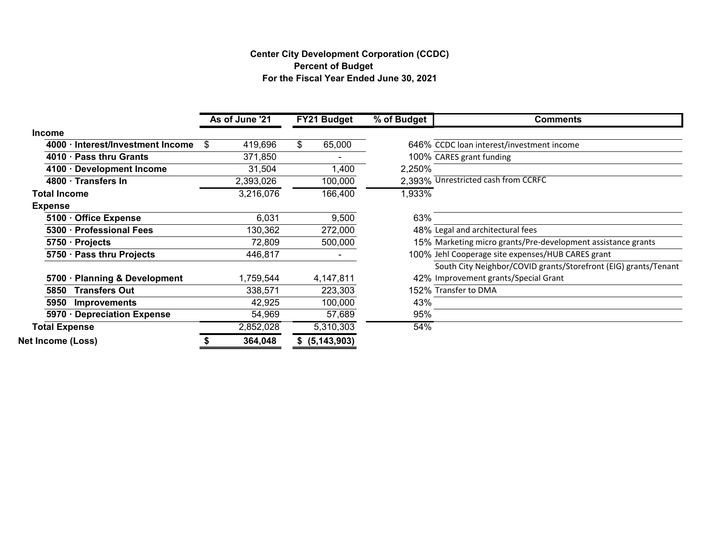## **Center City Development Corporation (CCDC) For the Fiscal Year Ended June 30, 2021 Percent of Budget**

|                                   | As of June '21 | FY21 Budget   | % of Budget | <b>Comments</b>                                                 |
|-----------------------------------|----------------|---------------|-------------|-----------------------------------------------------------------|
| <b>Income</b>                     |                |               |             |                                                                 |
| 4000 · Interest/Investment Income | 419,696<br>\$  | \$<br>65,000  |             | 646% CCDC loan interest/investment income                       |
| 4010 · Pass thru Grants           | 371,850        |               |             | 100% CARES grant funding                                        |
| 4100 · Development Income         | 31,504         | 1,400         | 2,250%      |                                                                 |
| 4800 · Transfers In               | 2,393,026      | 100,000       |             | 2,393% Unrestricted cash from CCRFC                             |
| <b>Total Income</b>               | 3,216,076      | 166,400       | 1,933%      |                                                                 |
| <b>Expense</b>                    |                |               |             |                                                                 |
| 5100 · Office Expense             | 6,031          | 9,500         | 63%         |                                                                 |
| 5300 · Professional Fees          | 130,362        | 272,000       |             | 48% Legal and architectural fees                                |
| 5750 · Projects                   | 72,809         | 500,000       |             | 15% Marketing micro grants/Pre-development assistance grants    |
| 5750 · Pass thru Projects         | 446,817        |               |             | 100% Jehl Cooperage site expenses/HUB CARES grant               |
|                                   |                |               |             | South City Neighbor/COVID grants/Storefront (EIG) grants/Tenant |
| 5700 · Planning & Development     | 1,759,544      | 4,147,811     |             | 42% Improvement grants/Special Grant                            |
| <b>Transfers Out</b><br>5850      | 338,571        | 223,303       |             | 152% Transfer to DMA                                            |
| 5950<br><b>Improvements</b>       | 42,925         | 100,000       | 43%         |                                                                 |
| 5970 · Depreciation Expense       | 54,969         | 57,689        | 95%         |                                                                 |
| <b>Total Expense</b>              | 2,852,028      | 5,310,303     | 54%         |                                                                 |
| <b>Net Income (Loss)</b>          | 364,048        | (5, 143, 903) |             |                                                                 |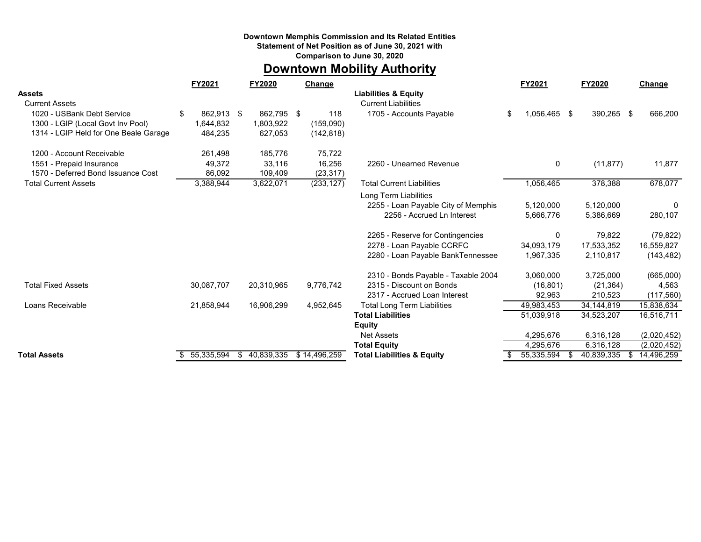#### **Downtown Memphis Commission and Its Related Entities**

**Statement of Net Position as of June 30, 2021 with**

**Comparison to June 30, 2020**

## **Downtown Mobility Authority**

|                                       | FY2021          | <b>FY2020</b>   | Change       |                                       | FY2021          | <b>FY2020</b>     | Change            |
|---------------------------------------|-----------------|-----------------|--------------|---------------------------------------|-----------------|-------------------|-------------------|
| <b>Assets</b>                         |                 |                 |              | <b>Liabilities &amp; Equity</b>       |                 |                   |                   |
| <b>Current Assets</b>                 |                 |                 |              | <b>Current Liabilities</b>            |                 |                   |                   |
| 1020 - USBank Debt Service            | 862,913 \$<br>S | 862,795 \$      | 118          | 1705 - Accounts Payable               | \$<br>1,056,465 | -\$<br>390,265 \$ | 666,200           |
| 1300 - LGIP (Local Govt Inv Pool)     | 1,644,832       | 1,803,922       | (159,090)    |                                       |                 |                   |                   |
| 1314 - LGIP Held for One Beale Garage | 484,235         | 627,053         | (142, 818)   |                                       |                 |                   |                   |
| 1200 - Account Receivable             | 261,498         | 185,776         | 75,722       |                                       |                 |                   |                   |
| 1551 - Prepaid Insurance              | 49,372          | 33,116          | 16,256       | 2260 - Unearned Revenue               | 0               | (11, 877)         | 11,877            |
| 1570 - Deferred Bond Issuance Cost    | 86,092          | 109,409         | (23, 317)    |                                       |                 |                   |                   |
| <b>Total Current Assets</b>           | 3,388,944       | 3,622,071       | (233, 127)   | <b>Total Current Liabilities</b>      | 1,056,465       | 378,388           | 678,077           |
|                                       |                 |                 |              | Long Term Liabilities                 |                 |                   |                   |
|                                       |                 |                 |              | 2255 - Loan Payable City of Memphis   | 5,120,000       | 5,120,000         | 0                 |
|                                       |                 |                 |              | 2256 - Accrued Ln Interest            | 5,666,776       | 5,386,669         | 280,107           |
|                                       |                 |                 |              | 2265 - Reserve for Contingencies      | 0               | 79,822            | (79, 822)         |
|                                       |                 |                 |              | 2278 - Loan Payable CCRFC             | 34,093,179      | 17,533,352        | 16,559,827        |
|                                       |                 |                 |              | 2280 - Loan Payable BankTennessee     | 1,967,335       | 2,110,817         | (143, 482)        |
|                                       |                 |                 |              | 2310 - Bonds Payable - Taxable 2004   | 3,060,000       | 3,725,000         | (665,000)         |
| <b>Total Fixed Assets</b>             | 30,087,707      | 20,310,965      | 9,776,742    | 2315 - Discount on Bonds              | (16, 801)       | (21, 364)         | 4,563             |
|                                       |                 |                 |              | 2317 - Accrued Loan Interest          | 92,963          | 210,523           | (117, 560)        |
| Loans Receivable                      | 21,858,944      | 16,906,299      | 4,952,645    | <b>Total Long Term Liabilities</b>    | 49,983,453      | 34, 144, 819      | 15,838,634        |
|                                       |                 |                 |              | <b>Total Liabilities</b>              | 51,039,918      | 34,523,207        | 16,516,711        |
|                                       |                 |                 |              | <b>Equity</b>                         |                 |                   |                   |
|                                       |                 |                 |              | <b>Net Assets</b>                     | 4,295,676       | 6,316,128         | (2,020,452)       |
|                                       |                 |                 |              | <b>Total Equity</b>                   | 4,295,676       | 6,316,128         | (2,020,452)       |
| <b>Total Assets</b>                   | 55,335,594      | 40,839,335<br>S | \$14,496,259 | <b>Total Liabilities &amp; Equity</b> | 55,335,594      | 40,839,335        | 14,496,259<br>\$. |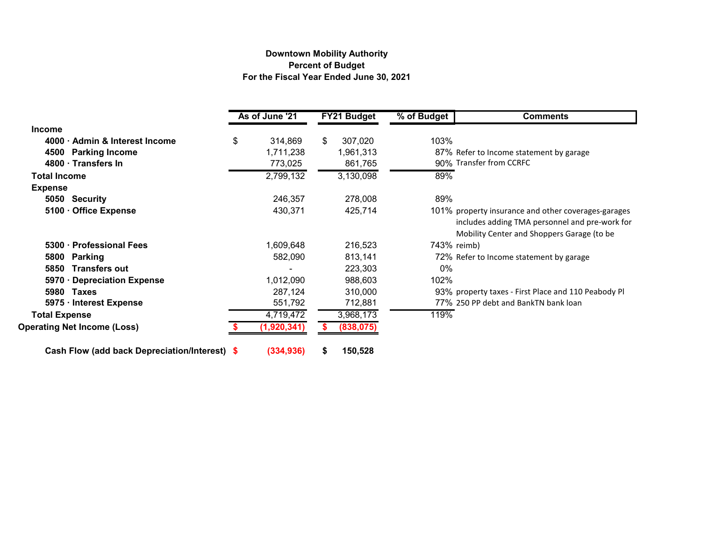#### **Downtown Mobility Authority Percent of Budget For the Fiscal Year Ended June 30, 2021**

|                                               |    | As of June '21 | <b>FY21 Budget</b> |            | % of Budget | <b>Comments</b>                                                                                                                                     |
|-----------------------------------------------|----|----------------|--------------------|------------|-------------|-----------------------------------------------------------------------------------------------------------------------------------------------------|
| <b>Income</b>                                 |    |                |                    |            |             |                                                                                                                                                     |
| 4000 · Admin & Interest Income                | \$ | 314,869        | \$                 | 307,020    | 103%        |                                                                                                                                                     |
| 4500<br><b>Parking Income</b>                 |    | 1,711,238      |                    | 1,961,313  |             | 87% Refer to Income statement by garage                                                                                                             |
| 4800 · Transfers In                           |    | 773,025        |                    | 861,765    |             | 90% Transfer from CCRFC                                                                                                                             |
| <b>Total Income</b>                           |    | 2,799,132      |                    | 3,130,098  | 89%         |                                                                                                                                                     |
| <b>Expense</b>                                |    |                |                    |            |             |                                                                                                                                                     |
| 5050 Security                                 |    | 246,357        |                    | 278,008    | 89%         |                                                                                                                                                     |
| 5100 · Office Expense                         |    | 430,371        |                    | 425,714    |             | 101% property insurance and other coverages-garages<br>includes adding TMA personnel and pre-work for<br>Mobility Center and Shoppers Garage (to be |
| 5300 · Professional Fees                      |    | 1,609,648      |                    | 216,523    |             | 743% reimb)                                                                                                                                         |
| 5800<br><b>Parking</b>                        |    | 582,090        |                    | 813,141    |             | 72% Refer to Income statement by garage                                                                                                             |
| 5850<br><b>Transfers out</b>                  |    |                |                    | 223,303    | 0%          |                                                                                                                                                     |
| 5970 Depreciation Expense                     |    | 1,012,090      |                    | 988,603    | 102%        |                                                                                                                                                     |
| 5980<br>Taxes                                 |    | 287,124        |                    | 310,000    |             | 93% property taxes - First Place and 110 Peabody Pl                                                                                                 |
| 5975 · Interest Expense                       |    | 551,792        |                    | 712,881    |             | 77% 250 PP debt and BankTN bank loan                                                                                                                |
| <b>Total Expense</b>                          |    | 4,719,472      |                    | 3,968,173  | 119%        |                                                                                                                                                     |
| <b>Operating Net Income (Loss)</b>            |    | (1,920,341)    |                    | (838, 075) |             |                                                                                                                                                     |
| Cash Flow (add back Depreciation/Interest) \$ |    | (334, 936)     |                    | 150,528    |             |                                                                                                                                                     |